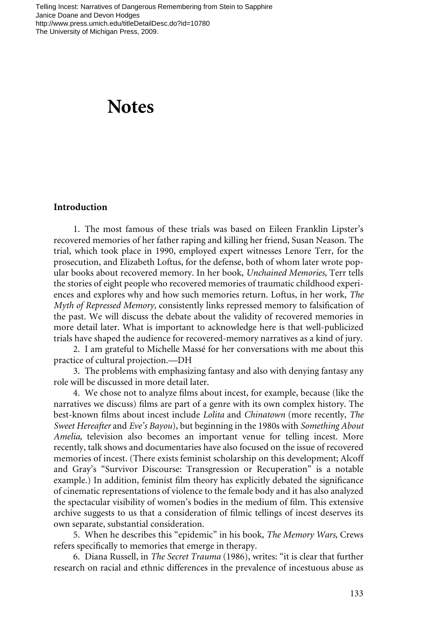# **Notes**

# **Introduction**

1. The most famous of these trials was based on Eileen Franklin Lipster's recovered memories of her father raping and killing her friend, Susan Neason. The trial, which took place in 1990, employed expert witnesses Lenore Terr, for the prosecution, and Elizabeth Loftus, for the defense, both of whom later wrote popular books about recovered memory. In her book, *Unchained Memories,* Terr tells the stories of eight people who recovered memories of traumatic childhood experiences and explores why and how such memories return. Loftus, in her work, *The Myth of Repressed Memory, consistently links repressed memory to falsification of* the past. We will discuss the debate about the validity of recovered memories in more detail later. What is important to acknowledge here is that well-publicized trials have shaped the audience for recovered-memory narratives as a kind of jury.

2. I am grateful to Michelle Massé for her conversations with me about this practice of cultural projection.—DH

3. The problems with emphasizing fantasy and also with denying fantasy any role will be discussed in more detail later.

4. We chose not to analyze films about incest, for example, because (like the narratives we discuss) films are part of a genre with its own complex history. The best-known films about incest include *Lolita* and *Chinatown* (more recently, *The Sweet Hereafter* and *Eve's Bayou*), but beginning in the 1980s with *Something About Amelia,* television also becomes an important venue for telling incest. More recently, talk shows and documentaries have also focused on the issue of recovered memories of incest. (There exists feminist scholarship on this development; Alcoff and Gray's "Survivor Discourse: Transgression or Recuperation" is a notable example.) In addition, feminist film theory has explicitly debated the significance of cinematic representations of violence to the female body and it has also analyzed the spectacular visibility of women's bodies in the medium of film. This extensive archive suggests to us that a consideration of filmic tellings of incest deserves its own separate, substantial consideration.

5. When he describes this "epidemic" in his book, *The Memory Wars,* Crews refers specifically to memories that emerge in therapy.

6. Diana Russell, in *The Secret Trauma* (1986), writes: "it is clear that further research on racial and ethnic differences in the prevalence of incestuous abuse as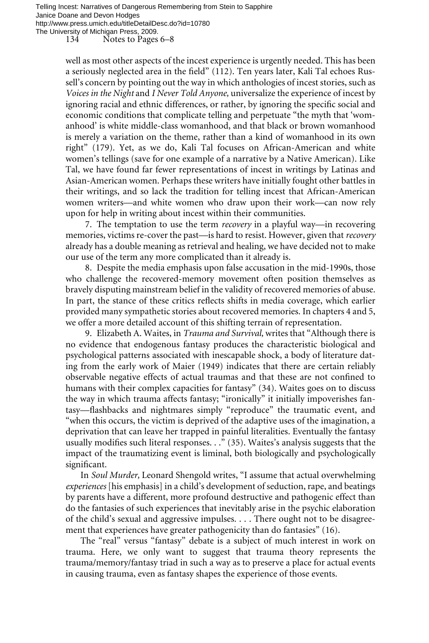> well as most other aspects of the incest experience is urgently needed. This has been a seriously neglected area in the field" (112). Ten years later, Kali Tal echoes Russell's concern by pointing out the way in which anthologies of incest stories, such as *Voices in the Night* and *I Never Told Anyone,* universalize the experience of incest by ignoring racial and ethnic differences, or rather, by ignoring the specific social and economic conditions that complicate telling and perpetuate "the myth that 'womanhood' is white middle-class womanhood, and that black or brown womanhood is merely a variation on the theme, rather than a kind of womanhood in its own right" (179). Yet, as we do, Kali Tal focuses on African-American and white women's tellings (save for one example of a narrative by a Native American). Like Tal, we have found far fewer representations of incest in writings by Latinas and Asian-American women. Perhaps these writers have initially fought other battles in their writings, and so lack the tradition for telling incest that African-American women writers—and white women who draw upon their work—can now rely upon for help in writing about incest within their communities.

> 7. The temptation to use the term *recovery* in a playful way—in recovering memories, victims re-cover the past—is hard to resist. However, given that *recovery* already has a double meaning as retrieval and healing, we have decided not to make our use of the term any more complicated than it already is.

> 8. Despite the media emphasis upon false accusation in the mid-1990s, those who challenge the recovered-memory movement often position themselves as bravely disputing mainstream belief in the validity of recovered memories of abuse. In part, the stance of these critics reflects shifts in media coverage, which earlier provided many sympathetic stories about recovered memories. In chapters 4 and 5, we offer a more detailed account of this shifting terrain of representation.

> 9. Elizabeth A. Waites, in *Trauma and Survival,* writes that "Although there is no evidence that endogenous fantasy produces the characteristic biological and psychological patterns associated with inescapable shock, a body of literature dating from the early work of Maier (1949) indicates that there are certain reliably observable negative effects of actual traumas and that these are not confined to humans with their complex capacities for fantasy" (34). Waites goes on to discuss the way in which trauma affects fantasy; "ironically" it initially impoverishes fantasy—flashbacks and nightmares simply "reproduce" the traumatic event, and "when this occurs, the victim is deprived of the adaptive uses of the imagination, a deprivation that can leave her trapped in painful literalities. Eventually the fantasy usually modifies such literal responses. . ."  $(35)$ . Waites's analysis suggests that the impact of the traumatizing event is liminal, both biologically and psychologically significant.

> In *Soul Murder,* Leonard Shengold writes, "I assume that actual overwhelming *experiences* [his emphasis] in a child's development of seduction, rape, and beatings by parents have a different, more profound destructive and pathogenic effect than do the fantasies of such experiences that inevitably arise in the psychic elaboration of the child's sexual and aggressive impulses. . . . There ought not to be disagreement that experiences have greater pathogenicity than do fantasies" (16).

> The "real" versus "fantasy" debate is a subject of much interest in work on trauma. Here, we only want to suggest that trauma theory represents the trauma/memory/fantasy triad in such a way as to preserve a place for actual events in causing trauma, even as fantasy shapes the experience of those events.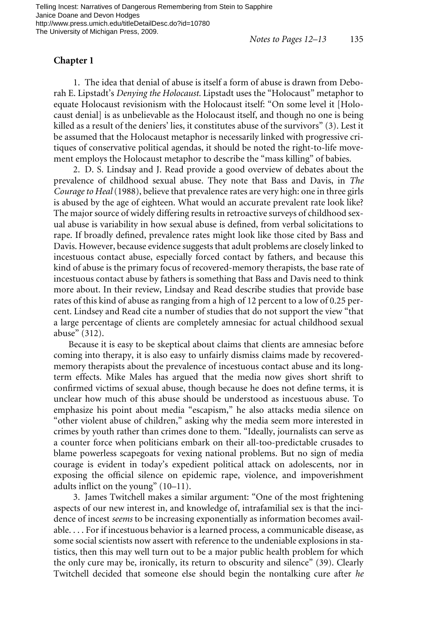*Notes to Pages 12–13* 135

#### **Chapter 1**

1. The idea that denial of abuse is itself a form of abuse is drawn from Deborah E. Lipstadt's *Denying the Holocaust.* Lipstadt uses the "Holocaust" metaphor to equate Holocaust revisionism with the Holocaust itself: "On some level it [Holocaust denial] is as unbelievable as the Holocaust itself, and though no one is being killed as a result of the deniers' lies, it constitutes abuse of the survivors" (3). Lest it be assumed that the Holocaust metaphor is necessarily linked with progressive critiques of conservative political agendas, it should be noted the right-to-life movement employs the Holocaust metaphor to describe the "mass killing" of babies.

2. D. S. Lindsay and J. Read provide a good overview of debates about the prevalence of childhood sexual abuse. They note that Bass and Davis, in *The Courage to Heal* (1988), believe that prevalence rates are very high: one in three girls is abused by the age of eighteen. What would an accurate prevalent rate look like? The major source of widely differing results in retroactive surveys of childhood sexual abuse is variability in how sexual abuse is defined, from verbal solicitations to rape. If broadly defined, prevalence rates might look like those cited by Bass and Davis. However, because evidence suggests that adult problems are closely linked to incestuous contact abuse, especially forced contact by fathers, and because this kind of abuse is the primary focus of recovered-memory therapists, the base rate of incestuous contact abuse by fathers is something that Bass and Davis need to think more about. In their review, Lindsay and Read describe studies that provide base rates of this kind of abuse as ranging from a high of 12 percent to a low of 0.25 percent. Lindsey and Read cite a number of studies that do not support the view "that a large percentage of clients are completely amnesiac for actual childhood sexual abuse" (312).

Because it is easy to be skeptical about claims that clients are amnesiac before coming into therapy, it is also easy to unfairly dismiss claims made by recoveredmemory therapists about the prevalence of incestuous contact abuse and its longterm effects. Mike Males has argued that the media now gives short shrift to confirmed victims of sexual abuse, though because he does not define terms, it is unclear how much of this abuse should be understood as incestuous abuse. To emphasize his point about media "escapism," he also attacks media silence on "other violent abuse of children," asking why the media seem more interested in crimes by youth rather than crimes done to them. "Ideally, journalists can serve as a counter force when politicians embark on their all-too-predictable crusades to blame powerless scapegoats for vexing national problems. But no sign of media courage is evident in today's expedient political attack on adolescents, nor in exposing the official silence on epidemic rape, violence, and impoverishment adults inflict on the young"  $(10-11)$ .

3. James Twitchell makes a similar argument: "One of the most frightening aspects of our new interest in, and knowledge of, intrafamilial sex is that the incidence of incest *seems* to be increasing exponentially as information becomes available. . . . For if incestuous behavior is a learned process, a communicable disease, as some social scientists now assert with reference to the undeniable explosions in statistics, then this may well turn out to be a major public health problem for which the only cure may be, ironically, its return to obscurity and silence" (39). Clearly Twitchell decided that someone else should begin the nontalking cure after *he*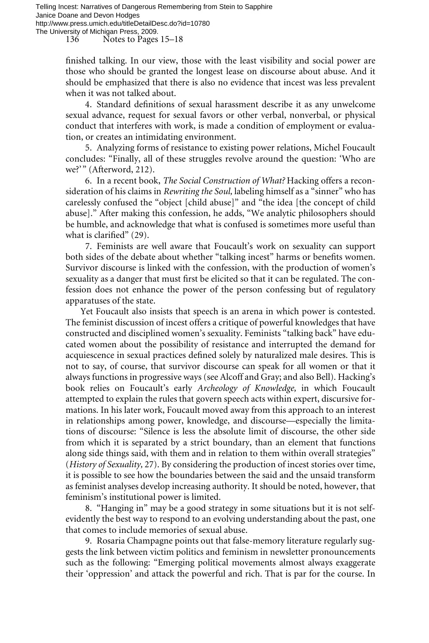> finished talking. In our view, those with the least visibility and social power are those who should be granted the longest lease on discourse about abuse. And it should be emphasized that there is also no evidence that incest was less prevalent when it was not talked about.

> 4. Standard definitions of sexual harassment describe it as any unwelcome sexual advance, request for sexual favors or other verbal, nonverbal, or physical conduct that interferes with work, is made a condition of employment or evaluation, or creates an intimidating environment.

> 5. Analyzing forms of resistance to existing power relations, Michel Foucault concludes: "Finally, all of these struggles revolve around the question: 'Who are we?'" (Afterword, 212).

> 6. In a recent book, *The Social Construction of What?* Hacking offers a reconsideration of his claims in *Rewriting the Soul,* labeling himself as a "sinner" who has carelessly confused the "object [child abuse]" and "the idea [the concept of child abuse]." After making this confession, he adds, "We analytic philosophers should be humble, and acknowledge that what is confused is sometimes more useful than what is clarified" (29).

> 7. Feminists are well aware that Foucault's work on sexuality can support both sides of the debate about whether "talking incest" harms or benefits women. Survivor discourse is linked with the confession, with the production of women's sexuality as a danger that must first be elicited so that it can be regulated. The confession does not enhance the power of the person confessing but of regulatory apparatuses of the state.

> Yet Foucault also insists that speech is an arena in which power is contested. The feminist discussion of incest offers a critique of powerful knowledges that have constructed and disciplined women's sexuality. Feminists "talking back" have educated women about the possibility of resistance and interrupted the demand for acquiescence in sexual practices defined solely by naturalized male desires. This is not to say, of course, that survivor discourse can speak for all women or that it always functions in progressive ways (see Alcoff and Gray; and also Bell). Hacking's book relies on Foucault's early *Archeology of Knowledge,* in which Foucault attempted to explain the rules that govern speech acts within expert, discursive formations. In his later work, Foucault moved away from this approach to an interest in relationships among power, knowledge, and discourse—especially the limitations of discourse: "Silence is less the absolute limit of discourse, the other side from which it is separated by a strict boundary, than an element that functions along side things said, with them and in relation to them within overall strategies" (*History of Sexuality,* 27). By considering the production of incest stories over time, it is possible to see how the boundaries between the said and the unsaid transform as feminist analyses develop increasing authority. It should be noted, however, that feminism's institutional power is limited.

> 8. "Hanging in" may be a good strategy in some situations but it is not selfevidently the best way to respond to an evolving understanding about the past, one that comes to include memories of sexual abuse.

> 9. Rosaria Champagne points out that false-memory literature regularly suggests the link between victim politics and feminism in newsletter pronouncements such as the following: "Emerging political movements almost always exaggerate their 'oppression' and attack the powerful and rich. That is par for the course. In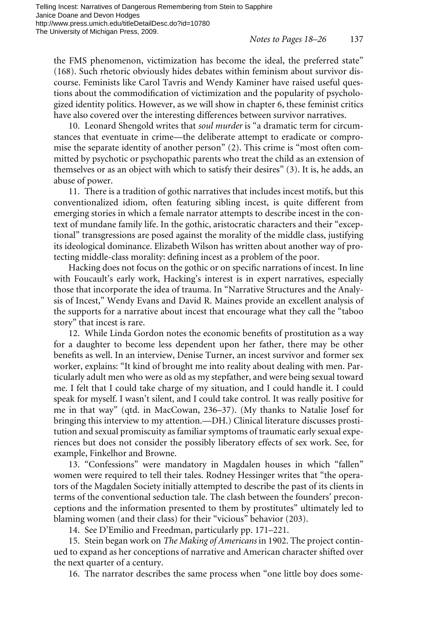the FMS phenomenon, victimization has become the ideal, the preferred state" (168). Such rhetoric obviously hides debates within feminism about survivor discourse. Feminists like Carol Tavris and Wendy Kaminer have raised useful questions about the commodification of victimization and the popularity of psychologized identity politics. However, as we will show in chapter 6, these feminist critics have also covered over the interesting differences between survivor narratives.

10. Leonard Shengold writes that *soul murder* is "a dramatic term for circumstances that eventuate in crime—the deliberate attempt to eradicate or compromise the separate identity of another person" (2). This crime is "most often committed by psychotic or psychopathic parents who treat the child as an extension of themselves or as an object with which to satisfy their desires" (3). It is, he adds, an abuse of power.

11. There is a tradition of gothic narratives that includes incest motifs, but this conventionalized idiom, often featuring sibling incest, is quite different from emerging stories in which a female narrator attempts to describe incest in the context of mundane family life. In the gothic, aristocratic characters and their "exceptional" transgressions are posed against the morality of the middle class, justifying its ideological dominance. Elizabeth Wilson has written about another way of protecting middle-class morality: defining incest as a problem of the poor.

Hacking does not focus on the gothic or on specific narrations of incest. In line with Foucault's early work, Hacking's interest is in expert narratives, especially those that incorporate the idea of trauma. In "Narrative Structures and the Analysis of Incest," Wendy Evans and David R. Maines provide an excellent analysis of the supports for a narrative about incest that encourage what they call the "taboo story" that incest is rare.

12. While Linda Gordon notes the economic benefits of prostitution as a way for a daughter to become less dependent upon her father, there may be other benefits as well. In an interview, Denise Turner, an incest survivor and former sex worker, explains: "It kind of brought me into reality about dealing with men. Particularly adult men who were as old as my stepfather, and were being sexual toward me. I felt that I could take charge of my situation, and I could handle it. I could speak for myself. I wasn't silent, and I could take control. It was really positive for me in that way" (qtd. in MacCowan, 236–37). (My thanks to Natalie Josef for bringing this interview to my attention.—DH.) Clinical literature discusses prostitution and sexual promiscuity as familiar symptoms of traumatic early sexual experiences but does not consider the possibly liberatory effects of sex work. See, for example, Finkelhor and Browne.

13. "Confessions" were mandatory in Magdalen houses in which "fallen" women were required to tell their tales. Rodney Hessinger writes that "the operators of the Magdalen Society initially attempted to describe the past of its clients in terms of the conventional seduction tale. The clash between the founders' preconceptions and the information presented to them by prostitutes" ultimately led to blaming women (and their class) for their "vicious" behavior (203).

14. See D'Emilio and Freedman, particularly pp. 171–221.

15. Stein began work on *The Making of Americans* in 1902. The project continued to expand as her conceptions of narrative and American character shifted over the next quarter of a century.

16. The narrator describes the same process when "one little boy does some-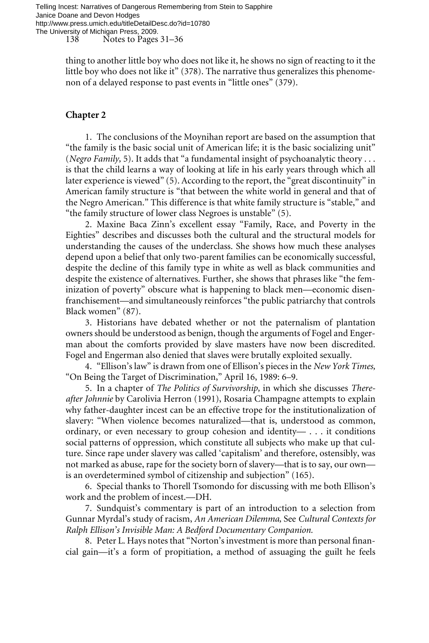thing to another little boy who does not like it, he shows no sign of reacting to it the little boy who does not like it" (378). The narrative thus generalizes this phenomenon of a delayed response to past events in "little ones" (379).

# **Chapter 2**

1. The conclusions of the Moynihan report are based on the assumption that "the family is the basic social unit of American life; it is the basic socializing unit" (*Negro Family,* 5). It adds that "a fundamental insight of psychoanalytic theory . . . is that the child learns a way of looking at life in his early years through which all later experience is viewed" (5). According to the report, the "great discontinuity" in American family structure is "that between the white world in general and that of the Negro American." This difference is that white family structure is "stable," and "the family structure of lower class Negroes is unstable" (5).

2. Maxine Baca Zinn's excellent essay "Family, Race, and Poverty in the Eighties" describes and discusses both the cultural and the structural models for understanding the causes of the underclass. She shows how much these analyses depend upon a belief that only two-parent families can be economically successful, despite the decline of this family type in white as well as black communities and despite the existence of alternatives. Further, she shows that phrases like "the feminization of poverty" obscure what is happening to black men—economic disenfranchisement—and simultaneously reinforces "the public patriarchy that controls Black women" (87).

3. Historians have debated whether or not the paternalism of plantation owners should be understood as benign, though the arguments of Fogel and Engerman about the comforts provided by slave masters have now been discredited. Fogel and Engerman also denied that slaves were brutally exploited sexually.

4. "Ellison's law" is drawn from one of Ellison's pieces in the *New York Times,* "On Being the Target of Discrimination," April 16, 1989: 6–9.

5. In a chapter of *The Politics of Survivorship,* in which she discusses *Thereafter Johnnie* by Carolivia Herron (1991), Rosaria Champagne attempts to explain why father-daughter incest can be an effective trope for the institutionalization of slavery: "When violence becomes naturalized—that is, understood as common, ordinary, or even necessary to group cohesion and identity— . . . it conditions social patterns of oppression, which constitute all subjects who make up that culture. Since rape under slavery was called 'capitalism' and therefore, ostensibly, was not marked as abuse, rape for the society born of slavery—that is to say, our own is an overdetermined symbol of citizenship and subjection" (165).

6. Special thanks to Thorell Tsomondo for discussing with me both Ellison's work and the problem of incest.—DH.

7. Sundquist's commentary is part of an introduction to a selection from Gunnar Myrdal's study of racism, *An American Dilemma,* See *Cultural Contexts for Ralph Ellison's Invisible Man: A Bedford Documentary Companion.*

8. Peter L. Hays notes that "Norton's investment is more than personal financial gain—it's a form of propitiation, a method of assuaging the guilt he feels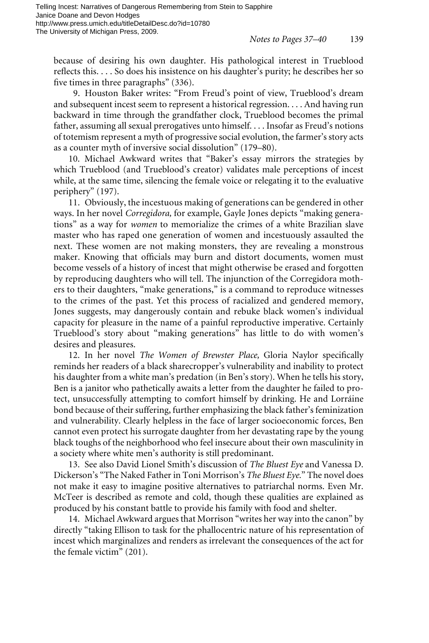because of desiring his own daughter. His pathological interest in Trueblood reflects this.  $\ldots$  So does his insistence on his daughter's purity; he describes her so five times in three paragraphs"  $(336)$ .

9. Houston Baker writes: "From Freud's point of view, Trueblood's dream and subsequent incest seem to represent a historical regression. . . . And having run backward in time through the grandfather clock, Trueblood becomes the primal father, assuming all sexual prerogatives unto himself. . . . Insofar as Freud's notions of totemism represent a myth of progressive social evolution, the farmer's story acts as a counter myth of inversive social dissolution" (179–80).

10. Michael Awkward writes that "Baker's essay mirrors the strategies by which Trueblood (and Trueblood's creator) validates male perceptions of incest while, at the same time, silencing the female voice or relegating it to the evaluative periphery" (197).

11. Obviously, the incestuous making of generations can be gendered in other ways. In her novel *Corregidora,* for example, Gayle Jones depicts "making generations" as a way for *women* to memorialize the crimes of a white Brazilian slave master who has raped one generation of women and incestuously assaulted the next. These women are not making monsters, they are revealing a monstrous maker. Knowing that officials may burn and distort documents, women must become vessels of a history of incest that might otherwise be erased and forgotten by reproducing daughters who will tell. The injunction of the Corregidora mothers to their daughters, "make generations," is a command to reproduce witnesses to the crimes of the past. Yet this process of racialized and gendered memory, Jones suggests, may dangerously contain and rebuke black women's individual capacity for pleasure in the name of a painful reproductive imperative. Certainly Trueblood's story about "making generations" has little to do with women's desires and pleasures.

12. In her novel *The Women of Brewster Place*, Gloria Naylor specifically reminds her readers of a black sharecropper's vulnerability and inability to protect his daughter from a white man's predation (in Ben's story). When he tells his story, Ben is a janitor who pathetically awaits a letter from the daughter he failed to protect, unsuccessfully attempting to comfort himself by drinking. He and Lorráine bond because of their suffering, further emphasizing the black father's feminization and vulnerability. Clearly helpless in the face of larger socioeconomic forces, Ben cannot even protect his surrogate daughter from her devastating rape by the young black toughs of the neighborhood who feel insecure about their own masculinity in a society where white men's authority is still predominant.

13. See also David Lionel Smith's discussion of *The Bluest Eye* and Vanessa D. Dickerson's "The Naked Father in Toni Morrison's *The Bluest Eye.*" The novel does not make it easy to imagine positive alternatives to patriarchal norms. Even Mr. McTeer is described as remote and cold, though these qualities are explained as produced by his constant battle to provide his family with food and shelter.

14. Michael Awkward argues that Morrison "writes her way into the canon" by directly "taking Ellison to task for the phallocentric nature of his representation of incest which marginalizes and renders as irrelevant the consequences of the act for the female victim" (201).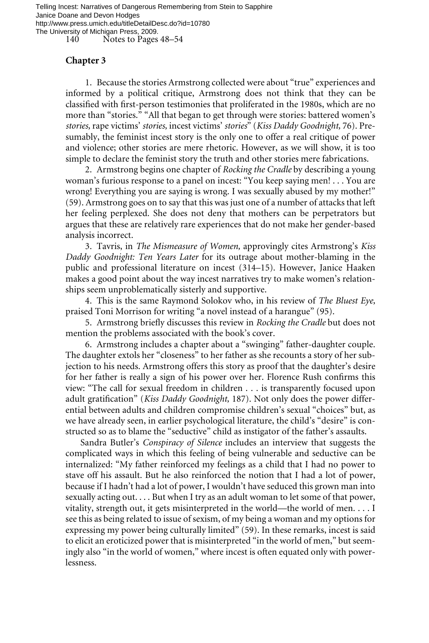**Chapter 3**

1. Because the stories Armstrong collected were about "true" experiences and informed by a political critique, Armstrong does not think that they can be classified with first-person testimonies that proliferated in the 1980s, which are no more than "stories." "All that began to get through were stories: battered women's *stories,* rape victims' *stories,* incest victims' *stories*" (*Kiss Daddy Goodnight,* 76). Presumably, the feminist incest story is the only one to offer a real critique of power and violence; other stories are mere rhetoric. However, as we will show, it is too simple to declare the feminist story the truth and other stories mere fabrications.

2. Armstrong begins one chapter of *Rocking the Cradle* by describing a young woman's furious response to a panel on incest: "You keep saying men! . . . You are wrong! Everything you are saying is wrong. I was sexually abused by my mother!" (59). Armstrong goes on to say that this was just one of a number of attacks that left her feeling perplexed. She does not deny that mothers can be perpetrators but argues that these are relatively rare experiences that do not make her gender-based analysis incorrect.

3. Tavris, in *The Mismeasure of Women,* approvingly cites Armstrong's *Kiss Daddy Goodnight: Ten Years Later* for its outrage about mother-blaming in the public and professional literature on incest (314–15). However, Janice Haaken makes a good point about the way incest narratives try to make women's relationships seem unproblematically sisterly and supportive.

4. This is the same Raymond Solokov who, in his review of *The Bluest Eye,* praised Toni Morrison for writing "a novel instead of a harangue" (95).

5. Armstrong briefly discusses this review in *Rocking the Cradle* but does not mention the problems associated with the book's cover.

6. Armstrong includes a chapter about a "swinging" father-daughter couple. The daughter extols her "closeness" to her father as she recounts a story of her subjection to his needs. Armstrong offers this story as proof that the daughter's desire for her father is really a sign of his power over her. Florence Rush confirms this view: "The call for sexual freedom in children . . . is transparently focused upon adult gratification" (Kiss Daddy Goodnight, 187). Not only does the power differential between adults and children compromise children's sexual "choices" but, as we have already seen, in earlier psychological literature, the child's "desire" is constructed so as to blame the "seductive" child as instigator of the father's assaults.

Sandra Butler's *Conspiracy of Silence* includes an interview that suggests the complicated ways in which this feeling of being vulnerable and seductive can be internalized: "My father reinforced my feelings as a child that I had no power to stave off his assault. But he also reinforced the notion that I had a lot of power, because if I hadn't had a lot of power, I wouldn't have seduced this grown man into sexually acting out. . . . But when I try as an adult woman to let some of that power, vitality, strength out, it gets misinterpreted in the world—the world of men. . . . I see this as being related to issue of sexism, of my being a woman and my options for expressing my power being culturally limited" (59). In these remarks, incest is said to elicit an eroticized power that is misinterpreted "in the world of men," but seemingly also "in the world of women," where incest is often equated only with powerlessness.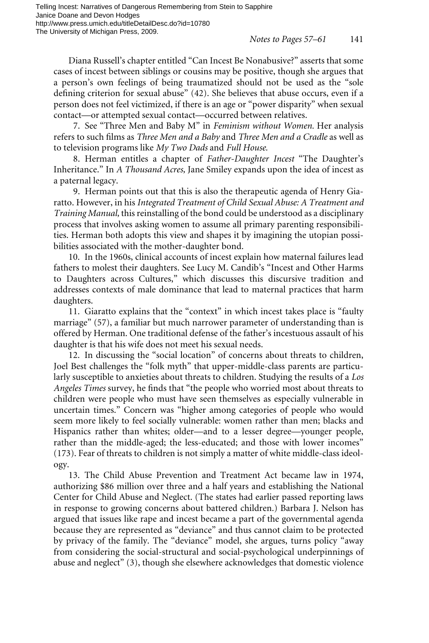Diana Russell's chapter entitled "Can Incest Be Nonabusive?" asserts that some cases of incest between siblings or cousins may be positive, though she argues that a person's own feelings of being traumatized should not be used as the "sole defining criterion for sexual abuse" (42). She believes that abuse occurs, even if a person does not feel victimized, if there is an age or "power disparity" when sexual contact—or attempted sexual contact—occurred between relatives.

7. See "Three Men and Baby M" in *Feminism without Women.* Her analysis refers to such films as *Three Men and a Baby* and *Three Men and a Cradle* as well as to television programs like *My Two Dads* and *Full House.*

8. Herman entitles a chapter of *Father-Daughter Incest* "The Daughter's Inheritance." In *A Thousand Acres,* Jane Smiley expands upon the idea of incest as a paternal legacy.

9. Herman points out that this is also the therapeutic agenda of Henry Giaratto. However, in his *Integrated Treatment of Child Sexual Abuse: A Treatment and Training Manual,* this reinstalling of the bond could be understood as a disciplinary process that involves asking women to assume all primary parenting responsibilities. Herman both adopts this view and shapes it by imagining the utopian possibilities associated with the mother-daughter bond.

10. In the 1960s, clinical accounts of incest explain how maternal failures lead fathers to molest their daughters. See Lucy M. Candib's "Incest and Other Harms to Daughters across Cultures," which discusses this discursive tradition and addresses contexts of male dominance that lead to maternal practices that harm daughters.

11. Giaratto explains that the "context" in which incest takes place is "faulty marriage" (57), a familiar but much narrower parameter of understanding than is offered by Herman. One traditional defense of the father's incestuous assault of his daughter is that his wife does not meet his sexual needs.

12. In discussing the "social location" of concerns about threats to children, Joel Best challenges the "folk myth" that upper-middle-class parents are particularly susceptible to anxieties about threats to children. Studying the results of a *Los Angeles Times* survey, he finds that "the people who worried most about threats to children were people who must have seen themselves as especially vulnerable in uncertain times." Concern was "higher among categories of people who would seem more likely to feel socially vulnerable: women rather than men; blacks and Hispanics rather than whites; older—and to a lesser degree—younger people, rather than the middle-aged; the less-educated; and those with lower incomes" (173). Fear of threats to children is not simply a matter of white middle-class ideology.

13. The Child Abuse Prevention and Treatment Act became law in 1974, authorizing \$86 million over three and a half years and establishing the National Center for Child Abuse and Neglect. (The states had earlier passed reporting laws in response to growing concerns about battered children.) Barbara J. Nelson has argued that issues like rape and incest became a part of the governmental agenda because they are represented as "deviance" and thus cannot claim to be protected by privacy of the family. The "deviance" model, she argues, turns policy "away from considering the social-structural and social-psychological underpinnings of abuse and neglect" (3), though she elsewhere acknowledges that domestic violence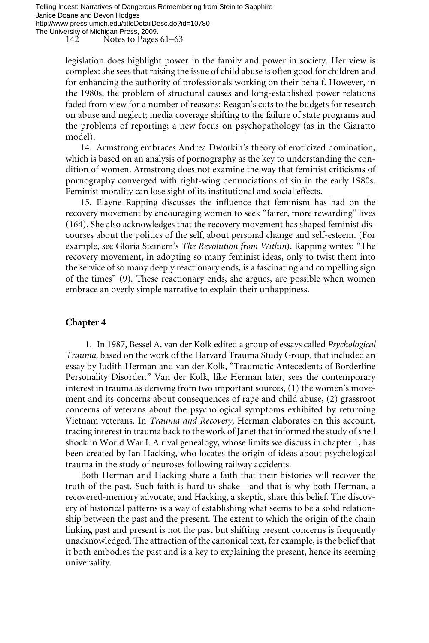> legislation does highlight power in the family and power in society. Her view is complex: she sees that raising the issue of child abuse is often good for children and for enhancing the authority of professionals working on their behalf. However, in the 1980s, the problem of structural causes and long-established power relations faded from view for a number of reasons: Reagan's cuts to the budgets for research on abuse and neglect; media coverage shifting to the failure of state programs and the problems of reporting; a new focus on psychopathology (as in the Giaratto model).

> 14. Armstrong embraces Andrea Dworkin's theory of eroticized domination, which is based on an analysis of pornography as the key to understanding the condition of women. Armstrong does not examine the way that feminist criticisms of pornography converged with right-wing denunciations of sin in the early 1980s. Feminist morality can lose sight of its institutional and social effects.

> 15. Elayne Rapping discusses the influence that feminism has had on the recovery movement by encouraging women to seek "fairer, more rewarding" lives (164). She also acknowledges that the recovery movement has shaped feminist discourses about the politics of the self, about personal change and self-esteem. (For example, see Gloria Steinem's *The Revolution from Within*). Rapping writes: "The recovery movement, in adopting so many feminist ideas, only to twist them into the service of so many deeply reactionary ends, is a fascinating and compelling sign of the times" (9). These reactionary ends, she argues, are possible when women embrace an overly simple narrative to explain their unhappiness.

#### **Chapter 4**

1. In 1987, Bessel A. van der Kolk edited a group of essays called *Psychological Trauma,* based on the work of the Harvard Trauma Study Group, that included an essay by Judith Herman and van der Kolk, "Traumatic Antecedents of Borderline Personality Disorder." Van der Kolk, like Herman later, sees the contemporary interest in trauma as deriving from two important sources, (1) the women's movement and its concerns about consequences of rape and child abuse, (2) grassroot concerns of veterans about the psychological symptoms exhibited by returning Vietnam veterans. In *Trauma and Recovery,* Herman elaborates on this account, tracing interest in trauma back to the work of Janet that informed the study of shell shock in World War I. A rival genealogy, whose limits we discuss in chapter 1, has been created by Ian Hacking, who locates the origin of ideas about psychological trauma in the study of neuroses following railway accidents.

Both Herman and Hacking share a faith that their histories will recover the truth of the past. Such faith is hard to shake—and that is why both Herman, a recovered-memory advocate, and Hacking, a skeptic, share this belief. The discovery of historical patterns is a way of establishing what seems to be a solid relationship between the past and the present. The extent to which the origin of the chain linking past and present is not the past but shifting present concerns is frequently unacknowledged. The attraction of the canonical text, for example, is the belief that it both embodies the past and is a key to explaining the present, hence its seeming universality.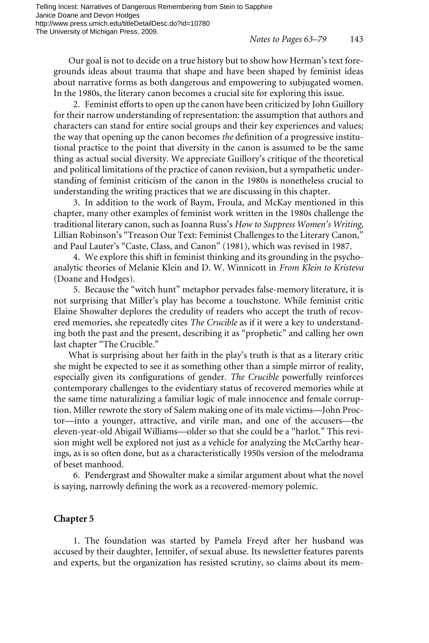Our goal is not to decide on a true history but to show how Herman's text foregrounds ideas about trauma that shape and have been shaped by feminist ideas about narrative forms as both dangerous and empowering to subjugated women. In the 1980s, the literary canon becomes a crucial site for exploring this issue.

2. Feminist efforts to open up the canon have been criticized by John Guillory for their narrow understanding of representation: the assumption that authors and characters can stand for entire social groups and their key experiences and values; the way that opening up the canon becomes *the* definition of a progressive institutional practice to the point that diversity in the canon is assumed to be the same thing as actual social diversity. We appreciate Guillory's critique of the theoretical and political limitations of the practice of canon revision, but a sympathetic understanding of feminist criticism of the canon in the 1980s is nonetheless crucial to understanding the writing practices that we are discussing in this chapter.

3. In addition to the work of Baym, Froula, and McKay mentioned in this chapter, many other examples of feminist work written in the 1980s challenge the traditional literary canon, such as Joanna Russ's *How to Suppress Women's Writing,* Lillian Robinson's "Treason Our Text: Feminist Challenges to the Literary Canon," and Paul Lauter's "Caste, Class, and Canon" (1981), which was revised in 1987.

4. We explore this shift in feminist thinking and its grounding in the psychoanalytic theories of Melanie Klein and D. W. Winnicott in *From Klein to Kristeva* (Doane and Hodges)*.*

5. Because the "witch hunt" metaphor pervades false-memory literature, it is not surprising that Miller's play has become a touchstone. While feminist critic Elaine Showalter deplores the credulity of readers who accept the truth of recovered memories, she repeatedly cites *The Crucible* as if it were a key to understanding both the past and the present, describing it as "prophetic" and calling her own last chapter "The Crucible."

What is surprising about her faith in the play's truth is that as a literary critic she might be expected to see it as something other than a simple mirror of reality, especially given its configurations of gender. *The Crucible* powerfully reinforces contemporary challenges to the evidentiary status of recovered memories while at the same time naturalizing a familiar logic of male innocence and female corruption. Miller rewrote the story of Salem making one of its male victims—John Proctor—into a younger, attractive, and virile man, and one of the accusers—the eleven-year-old Abigail Williams—older so that she could be a "harlot." This revision might well be explored not just as a vehicle for analyzing the McCarthy hearings, as is so often done, but as a characteristically 1950s version of the melodrama of beset manhood.

6. Pendergrast and Showalter make a similar argument about what the novel is saying, narrowly defining the work as a recovered-memory polemic.

# **Chapter 5**

1. The foundation was started by Pamela Freyd after her husband was accused by their daughter, Jennifer, of sexual abuse. Its newsletter features parents and experts, but the organization has resisted scrutiny, so claims about its mem-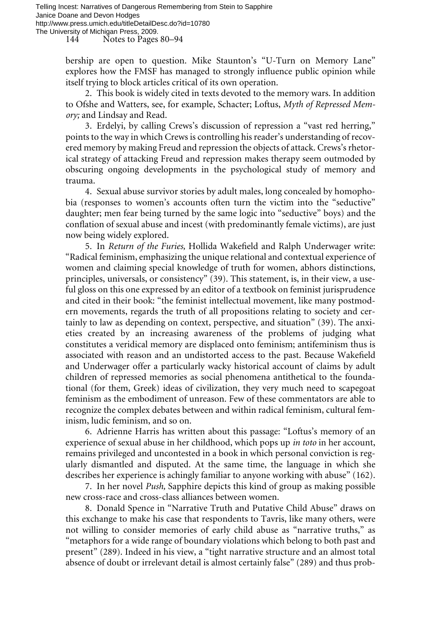> bership are open to question. Mike Staunton's "U-Turn on Memory Lane" explores how the FMSF has managed to strongly influence public opinion while itself trying to block articles critical of its own operation.

> 2. This book is widely cited in texts devoted to the memory wars. In addition to Ofshe and Watters, see, for example, Schacter; Loftus, *Myth of Repressed Memory;* and Lindsay and Read.

> 3. Erdelyi, by calling Crews's discussion of repression a "vast red herring," points to the way in which Crews is controlling his reader's understanding of recovered memory by making Freud and repression the objects of attack. Crews's rhetorical strategy of attacking Freud and repression makes therapy seem outmoded by obscuring ongoing developments in the psychological study of memory and trauma.

> 4. Sexual abuse survivor stories by adult males, long concealed by homophobia (responses to women's accounts often turn the victim into the "seductive" daughter; men fear being turned by the same logic into "seductive" boys) and the conflation of sexual abuse and incest (with predominantly female victims), are just now being widely explored.

> 5. In *Return of the Furies*, Hollida Wakefield and Ralph Underwager write: "Radical feminism, emphasizing the unique relational and contextual experience of women and claiming special knowledge of truth for women, abhors distinctions, principles, universals, or consistency" (39). This statement, is, in their view, a useful gloss on this one expressed by an editor of a textbook on feminist jurisprudence and cited in their book: "the feminist intellectual movement, like many postmodern movements, regards the truth of all propositions relating to society and certainly to law as depending on context, perspective, and situation" (39). The anxieties created by an increasing awareness of the problems of judging what constitutes a veridical memory are displaced onto feminism; antifeminism thus is associated with reason and an undistorted access to the past. Because Wakefield and Underwager offer a particularly wacky historical account of claims by adult children of repressed memories as social phenomena antithetical to the foundational (for them, Greek) ideas of civilization, they very much need to scapegoat feminism as the embodiment of unreason. Few of these commentators are able to recognize the complex debates between and within radical feminism, cultural feminism, ludic feminism, and so on.

> 6. Adrienne Harris has written about this passage: "Loftus's memory of an experience of sexual abuse in her childhood, which pops up *in toto* in her account, remains privileged and uncontested in a book in which personal conviction is regularly dismantled and disputed. At the same time, the language in which she describes her experience is achingly familiar to anyone working with abuse" (162).

> 7. In her novel *Push,* Sapphire depicts this kind of group as making possible new cross-race and cross-class alliances between women.

> 8. Donald Spence in "Narrative Truth and Putative Child Abuse" draws on this exchange to make his case that respondents to Tavris, like many others, were not willing to consider memories of early child abuse as "narrative truths," as "metaphors for a wide range of boundary violations which belong to both past and present" (289). Indeed in his view, a "tight narrative structure and an almost total absence of doubt or irrelevant detail is almost certainly false" (289) and thus prob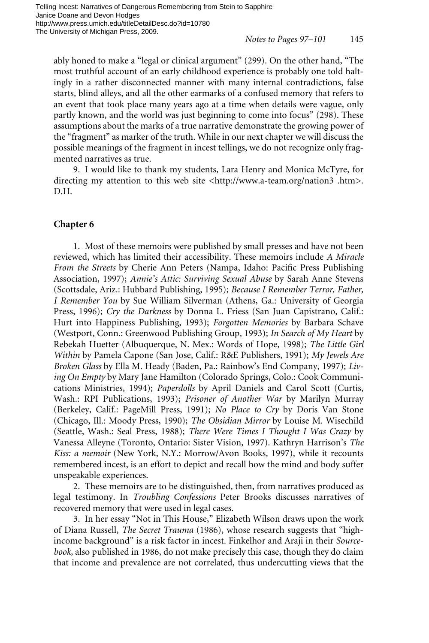ably honed to make a "legal or clinical argument" (299). On the other hand, "The most truthful account of an early childhood experience is probably one told haltingly in a rather disconnected manner with many internal contradictions, false starts, blind alleys, and all the other earmarks of a confused memory that refers to an event that took place many years ago at a time when details were vague, only partly known, and the world was just beginning to come into focus" (298). These assumptions about the marks of a true narrative demonstrate the growing power of the "fragment" as marker of the truth. While in our next chapter we will discuss the possible meanings of the fragment in incest tellings, we do not recognize only fragmented narratives as true.

9. I would like to thank my students, Lara Henry and Monica McTyre, for directing my attention to this web site <http://www.a-team.org/nation3 .htm>. D.H.

# **Chapter 6**

1. Most of these memoirs were published by small presses and have not been reviewed, which has limited their accessibility. These memoirs include *A Miracle From the Streets* by Cherie Ann Peters (Nampa, Idaho: Pacific Press Publishing Association, 1997); *Annie's Attic: Surviving Sexual Abuse* by Sarah Anne Stevens (Scottsdale, Ariz.: Hubbard Publishing, 1995); *Because I Remember Terror, Father, I Remember You* by Sue William Silverman (Athens, Ga.: University of Georgia Press, 1996); *Cry the Darkness* by Donna L. Friess (San Juan Capistrano, Calif.: Hurt into Happiness Publishing, 1993); *Forgotten Memories* by Barbara Schave (Westport, Conn.: Greenwood Publishing Group, 1993); *In Search of My Heart* by Rebekah Huetter (Albuquerque, N. Mex.: Words of Hope, 1998); *The Little Girl Within* by Pamela Capone (San Jose, Calif.: R&E Publishers, 1991); *My Jewels Are Broken Glass* by Ella M. Heady (Baden, Pa.: Rainbow's End Company, 1997); *Living On Empty* by Mary Jane Hamilton (Colorado Springs, Colo.: Cook Communications Ministries, 1994); *Paperdolls* by April Daniels and Carol Scott (Curtis, Wash.: RPI Publications, 1993); *Prisoner of Another War* by Marilyn Murray (Berkeley, Calif.: PageMill Press, 1991); *No Place to Cry* by Doris Van Stone (Chicago, Ill.: Moody Press, 1990); *The Obsidian Mirror* by Louise M. Wisechild (Seattle, Wash.: Seal Press, 1988); *There Were Times I Thought I Was Crazy* by Vanessa Alleyne (Toronto, Ontario: Sister Vision, 1997). Kathryn Harrison's *The Kiss: a memoir* (New York, N.Y.: Morrow/Avon Books, 1997), while it recounts remembered incest, is an effort to depict and recall how the mind and body suffer unspeakable experiences.

2. These memoirs are to be distinguished, then, from narratives produced as legal testimony. In *Troubling Confessions* Peter Brooks discusses narratives of recovered memory that were used in legal cases.

3. In her essay "Not in This House," Elizabeth Wilson draws upon the work of Diana Russell, *The Secret Trauma* (1986), whose research suggests that "highincome background" is a risk factor in incest. Finkelhor and Araji in their *Sourcebook,* also published in 1986, do not make precisely this case, though they do claim that income and prevalence are not correlated, thus undercutting views that the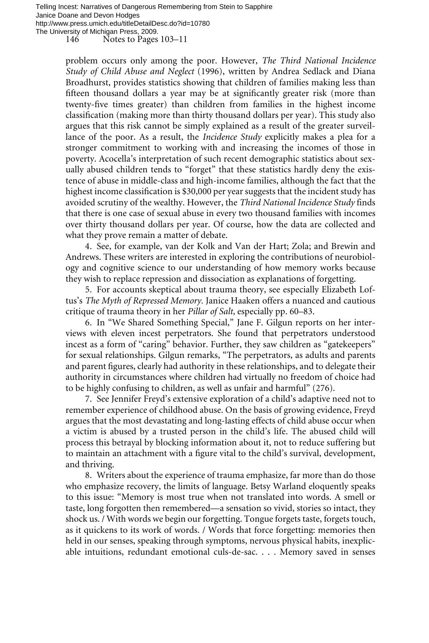> problem occurs only among the poor. However, *The Third National Incidence Study of Child Abuse and Neglect* (1996), written by Andrea Sedlack and Diana Broadhurst, provides statistics showing that children of families making less than fifteen thousand dollars a year may be at significantly greater risk (more than twenty-five times greater) than children from families in the highest income classification (making more than thirty thousand dollars per year). This study also argues that this risk cannot be simply explained as a result of the greater surveillance of the poor. As a result, the *Incidence Study* explicitly makes a plea for a stronger commitment to working with and increasing the incomes of those in poverty. Acocella's interpretation of such recent demographic statistics about sexually abused children tends to "forget" that these statistics hardly deny the existence of abuse in middle-class and high-income families, although the fact that the highest income classification is \$30,000 per year suggests that the incident study has avoided scrutiny of the wealthy. However, the *Third National Incidence Study* finds that there is one case of sexual abuse in every two thousand families with incomes over thirty thousand dollars per year. Of course, how the data are collected and what they prove remain a matter of debate.

> 4. See, for example, van der Kolk and Van der Hart; Zola; and Brewin and Andrews. These writers are interested in exploring the contributions of neurobiology and cognitive science to our understanding of how memory works because they wish to replace repression and dissociation as explanations of forgetting.

> 5. For accounts skeptical about trauma theory, see especially Elizabeth Loftus's *The Myth of Repressed Memory.* Janice Haaken offers a nuanced and cautious critique of trauma theory in her *Pillar of Salt,* especially pp. 60–83.

> 6. In "We Shared Something Special," Jane F. Gilgun reports on her interviews with eleven incest perpetrators. She found that perpetrators understood incest as a form of "caring" behavior. Further, they saw children as "gatekeepers" for sexual relationships. Gilgun remarks, "The perpetrators, as adults and parents and parent figures, clearly had authority in these relationships, and to delegate their authority in circumstances where children had virtually no freedom of choice had to be highly confusing to children, as well as unfair and harmful" (276).

> 7. See Jennifer Freyd's extensive exploration of a child's adaptive need not to remember experience of childhood abuse. On the basis of growing evidence, Freyd argues that the most devastating and long-lasting effects of child abuse occur when a victim is abused by a trusted person in the child's life. The abused child will process this betrayal by blocking information about it, not to reduce suffering but to maintain an attachment with a figure vital to the child's survival, development, and thriving.

> 8. Writers about the experience of trauma emphasize, far more than do those who emphasize recovery, the limits of language. Betsy Warland eloquently speaks to this issue: "Memory is most true when not translated into words. A smell or taste, long forgotten then remembered—a sensation so vivid, stories so intact, they shock us. / With words we begin our forgetting. Tongue forgets taste, forgets touch, as it quickens to its work of words. / Words that force forgetting: memories then held in our senses, speaking through symptoms, nervous physical habits, inexplicable intuitions, redundant emotional culs-de-sac. . . . Memory saved in senses